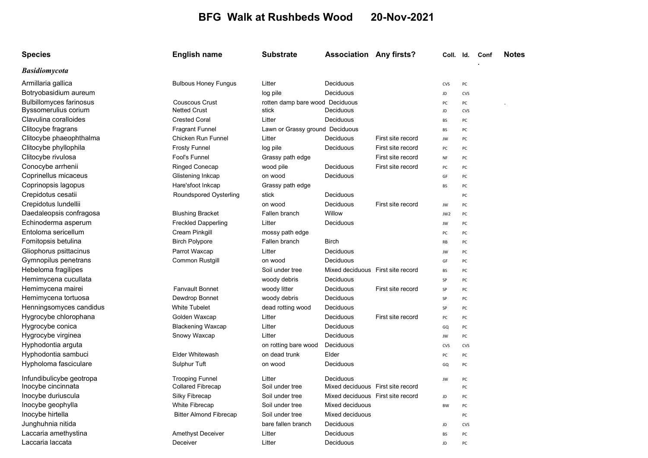## BFG Walk at Rushbeds Wood 20-Nov-2021

| <b>Basidiomycota</b><br>Armillaria gallica<br><b>Bulbous Honey Fungus</b><br>Litter<br>Deciduous<br>CVS<br>PC<br>Botryobasidium aureum<br>Deciduous<br>log pile<br>CVS<br>JD<br><b>Bulbillomyces farinosus</b><br><b>Couscous Crust</b><br>rotten damp bare wood Deciduous<br>PC<br>PC<br><b>Byssomerulius corium</b><br><b>Netted Crust</b><br>Deciduous<br>stick<br>JD<br>CVS<br>Clavulina coralloides<br><b>Crested Coral</b><br>Litter<br>Deciduous<br><b>BS</b><br>PC<br>Clitocybe fragrans<br><b>Fragrant Funnel</b><br>Lawn or Grassy ground Deciduous<br>PC<br><b>BS</b><br>Clitocybe phaeophthalma<br>Chicken Run Funnel<br>Litter<br>Deciduous<br>First site record<br>PC<br>JW<br>Clitocybe phyllophila<br><b>Frosty Funnel</b><br>Deciduous<br>First site record<br>log pile<br>PC<br>PC<br>Clitocybe rivulosa<br>Fool's Funnel<br>Grassy path edge<br>First site record<br><b>NF</b><br>PC<br>Conocybe arrhenii<br><b>Ringed Conecap</b><br>Deciduous<br>wood pile<br>First site record<br>PC<br>PC<br>Coprinellus micaceus<br>Glistening Inkcap<br>Deciduous<br>on wood<br>PC<br>GF<br>Coprinopsis lagopus<br>Hare'sfoot Inkcap<br>Grassy path edge<br><b>BS</b><br>PC<br>Crepidotus cesatii<br>Roundspored Oysterling<br>stick<br>Deciduous<br>PC<br>Crepidotus lundellii<br>Deciduous<br>First site record<br>on wood<br>JW<br>PC<br>Daedaleopsis confragosa<br>Willow<br><b>Blushing Bracket</b><br>Fallen branch<br>PC<br>JW <sub>2</sub><br>Echinoderma asperum<br><b>Freckled Dapperling</b><br>Litter<br>Deciduous<br>JW<br>PC<br>Entoloma sericellum<br>Cream Pinkgill<br>mossy path edge<br>PC<br>PC<br>Fomitopsis betulina<br><b>Birch Polypore</b><br><b>Birch</b><br>Fallen branch<br>PC<br>RB<br>Gliophorus psittacinus<br>Parrot Waxcap<br>Litter<br>Deciduous<br>PC<br>JW<br>Gymnopilus penetrans<br><b>Common Rustgill</b><br>Deciduous<br>on wood<br>GF<br>PC<br>Hebeloma fragilipes<br>Soil under tree<br>Mixed deciduous First site record<br>PC<br>BS<br>Hemimycena cucullata<br>Deciduous<br>woody debris<br>PC<br>SP<br>Hemimycena mairei<br><b>Fanvault Bonnet</b><br>woody litter<br>Deciduous<br>First site record<br>SP<br>PC<br>Hemimycena tortuosa<br>Dewdrop Bonnet<br>woody debris<br>Deciduous<br>SP<br>PC<br>Henningsomyces candidus<br><b>White Tubelet</b><br>dead rotting wood<br>Deciduous<br>SP<br>PC<br>Hygrocybe chlorophana<br>Deciduous<br>First site record<br>Golden Waxcap<br>Litter<br>PC<br>PC<br>Hygrocybe conica<br><b>Blackening Waxcap</b><br>Litter<br>Deciduous<br>PC<br>GQ<br>Hygrocybe virginea<br>Snowy Waxcap<br>Litter<br>Deciduous<br>PC<br>JW<br>Hyphodontia arguta<br>Deciduous<br>on rotting bare wood<br>CVS<br>CVS<br>Hyphodontia sambuci<br><b>Elder Whitewash</b><br>Elder<br>on dead trunk<br>PC<br>PC<br>Hypholoma fasciculare<br>Sulphur Tuft<br>on wood<br>Deciduous<br>PC<br>GQ<br>Infundibulicybe geotropa<br><b>Trooping Funnel</b><br>Deciduous<br>Litter<br>PC<br>JW<br>Inocybe cincinnata<br>Mixed deciduous First site record<br><b>Collared Fibrecap</b><br>Soil under tree<br>PC<br>Inocybe duriuscula<br>Silky Fibrecap<br>Mixed deciduous First site record<br>Soil under tree<br>JD<br>PC<br>White Fibrecap<br>Inocybe geophylla<br>Soil under tree<br>Mixed deciduous<br>PC<br><b>BW</b><br>Inocybe hirtella<br><b>Bitter Almond Fibrecap</b><br>Soil under tree<br>Mixed deciduous<br>PC<br>Junghuhnia nitida<br>bare fallen branch<br>Deciduous<br>CVS<br>JD | <b>Species</b> | <b>English name</b> | <b>Substrate</b> | <b>Association Any firsts?</b> | Coll. Id. | Conf | <b>Notes</b> |
|----------------------------------------------------------------------------------------------------------------------------------------------------------------------------------------------------------------------------------------------------------------------------------------------------------------------------------------------------------------------------------------------------------------------------------------------------------------------------------------------------------------------------------------------------------------------------------------------------------------------------------------------------------------------------------------------------------------------------------------------------------------------------------------------------------------------------------------------------------------------------------------------------------------------------------------------------------------------------------------------------------------------------------------------------------------------------------------------------------------------------------------------------------------------------------------------------------------------------------------------------------------------------------------------------------------------------------------------------------------------------------------------------------------------------------------------------------------------------------------------------------------------------------------------------------------------------------------------------------------------------------------------------------------------------------------------------------------------------------------------------------------------------------------------------------------------------------------------------------------------------------------------------------------------------------------------------------------------------------------------------------------------------------------------------------------------------------------------------------------------------------------------------------------------------------------------------------------------------------------------------------------------------------------------------------------------------------------------------------------------------------------------------------------------------------------------------------------------------------------------------------------------------------------------------------------------------------------------------------------------------------------------------------------------------------------------------------------------------------------------------------------------------------------------------------------------------------------------------------------------------------------------------------------------------------------------------------------------------------------------------------------------------------------------------------------------------------------------------------------------------------------------------------------------------------------------------------------------------------------------------------------------------------------------------------------------------------------------------------------------------------------------------------------------------------------------------------------|----------------|---------------------|------------------|--------------------------------|-----------|------|--------------|
|                                                                                                                                                                                                                                                                                                                                                                                                                                                                                                                                                                                                                                                                                                                                                                                                                                                                                                                                                                                                                                                                                                                                                                                                                                                                                                                                                                                                                                                                                                                                                                                                                                                                                                                                                                                                                                                                                                                                                                                                                                                                                                                                                                                                                                                                                                                                                                                                                                                                                                                                                                                                                                                                                                                                                                                                                                                                                                                                                                                                                                                                                                                                                                                                                                                                                                                                                                                                                                                                |                |                     |                  |                                |           |      |              |
|                                                                                                                                                                                                                                                                                                                                                                                                                                                                                                                                                                                                                                                                                                                                                                                                                                                                                                                                                                                                                                                                                                                                                                                                                                                                                                                                                                                                                                                                                                                                                                                                                                                                                                                                                                                                                                                                                                                                                                                                                                                                                                                                                                                                                                                                                                                                                                                                                                                                                                                                                                                                                                                                                                                                                                                                                                                                                                                                                                                                                                                                                                                                                                                                                                                                                                                                                                                                                                                                |                |                     |                  |                                |           |      |              |
|                                                                                                                                                                                                                                                                                                                                                                                                                                                                                                                                                                                                                                                                                                                                                                                                                                                                                                                                                                                                                                                                                                                                                                                                                                                                                                                                                                                                                                                                                                                                                                                                                                                                                                                                                                                                                                                                                                                                                                                                                                                                                                                                                                                                                                                                                                                                                                                                                                                                                                                                                                                                                                                                                                                                                                                                                                                                                                                                                                                                                                                                                                                                                                                                                                                                                                                                                                                                                                                                |                |                     |                  |                                |           |      |              |
|                                                                                                                                                                                                                                                                                                                                                                                                                                                                                                                                                                                                                                                                                                                                                                                                                                                                                                                                                                                                                                                                                                                                                                                                                                                                                                                                                                                                                                                                                                                                                                                                                                                                                                                                                                                                                                                                                                                                                                                                                                                                                                                                                                                                                                                                                                                                                                                                                                                                                                                                                                                                                                                                                                                                                                                                                                                                                                                                                                                                                                                                                                                                                                                                                                                                                                                                                                                                                                                                |                |                     |                  |                                |           |      |              |
|                                                                                                                                                                                                                                                                                                                                                                                                                                                                                                                                                                                                                                                                                                                                                                                                                                                                                                                                                                                                                                                                                                                                                                                                                                                                                                                                                                                                                                                                                                                                                                                                                                                                                                                                                                                                                                                                                                                                                                                                                                                                                                                                                                                                                                                                                                                                                                                                                                                                                                                                                                                                                                                                                                                                                                                                                                                                                                                                                                                                                                                                                                                                                                                                                                                                                                                                                                                                                                                                |                |                     |                  |                                |           |      |              |
|                                                                                                                                                                                                                                                                                                                                                                                                                                                                                                                                                                                                                                                                                                                                                                                                                                                                                                                                                                                                                                                                                                                                                                                                                                                                                                                                                                                                                                                                                                                                                                                                                                                                                                                                                                                                                                                                                                                                                                                                                                                                                                                                                                                                                                                                                                                                                                                                                                                                                                                                                                                                                                                                                                                                                                                                                                                                                                                                                                                                                                                                                                                                                                                                                                                                                                                                                                                                                                                                |                |                     |                  |                                |           |      |              |
|                                                                                                                                                                                                                                                                                                                                                                                                                                                                                                                                                                                                                                                                                                                                                                                                                                                                                                                                                                                                                                                                                                                                                                                                                                                                                                                                                                                                                                                                                                                                                                                                                                                                                                                                                                                                                                                                                                                                                                                                                                                                                                                                                                                                                                                                                                                                                                                                                                                                                                                                                                                                                                                                                                                                                                                                                                                                                                                                                                                                                                                                                                                                                                                                                                                                                                                                                                                                                                                                |                |                     |                  |                                |           |      |              |
|                                                                                                                                                                                                                                                                                                                                                                                                                                                                                                                                                                                                                                                                                                                                                                                                                                                                                                                                                                                                                                                                                                                                                                                                                                                                                                                                                                                                                                                                                                                                                                                                                                                                                                                                                                                                                                                                                                                                                                                                                                                                                                                                                                                                                                                                                                                                                                                                                                                                                                                                                                                                                                                                                                                                                                                                                                                                                                                                                                                                                                                                                                                                                                                                                                                                                                                                                                                                                                                                |                |                     |                  |                                |           |      |              |
|                                                                                                                                                                                                                                                                                                                                                                                                                                                                                                                                                                                                                                                                                                                                                                                                                                                                                                                                                                                                                                                                                                                                                                                                                                                                                                                                                                                                                                                                                                                                                                                                                                                                                                                                                                                                                                                                                                                                                                                                                                                                                                                                                                                                                                                                                                                                                                                                                                                                                                                                                                                                                                                                                                                                                                                                                                                                                                                                                                                                                                                                                                                                                                                                                                                                                                                                                                                                                                                                |                |                     |                  |                                |           |      |              |
|                                                                                                                                                                                                                                                                                                                                                                                                                                                                                                                                                                                                                                                                                                                                                                                                                                                                                                                                                                                                                                                                                                                                                                                                                                                                                                                                                                                                                                                                                                                                                                                                                                                                                                                                                                                                                                                                                                                                                                                                                                                                                                                                                                                                                                                                                                                                                                                                                                                                                                                                                                                                                                                                                                                                                                                                                                                                                                                                                                                                                                                                                                                                                                                                                                                                                                                                                                                                                                                                |                |                     |                  |                                |           |      |              |
|                                                                                                                                                                                                                                                                                                                                                                                                                                                                                                                                                                                                                                                                                                                                                                                                                                                                                                                                                                                                                                                                                                                                                                                                                                                                                                                                                                                                                                                                                                                                                                                                                                                                                                                                                                                                                                                                                                                                                                                                                                                                                                                                                                                                                                                                                                                                                                                                                                                                                                                                                                                                                                                                                                                                                                                                                                                                                                                                                                                                                                                                                                                                                                                                                                                                                                                                                                                                                                                                |                |                     |                  |                                |           |      |              |
|                                                                                                                                                                                                                                                                                                                                                                                                                                                                                                                                                                                                                                                                                                                                                                                                                                                                                                                                                                                                                                                                                                                                                                                                                                                                                                                                                                                                                                                                                                                                                                                                                                                                                                                                                                                                                                                                                                                                                                                                                                                                                                                                                                                                                                                                                                                                                                                                                                                                                                                                                                                                                                                                                                                                                                                                                                                                                                                                                                                                                                                                                                                                                                                                                                                                                                                                                                                                                                                                |                |                     |                  |                                |           |      |              |
|                                                                                                                                                                                                                                                                                                                                                                                                                                                                                                                                                                                                                                                                                                                                                                                                                                                                                                                                                                                                                                                                                                                                                                                                                                                                                                                                                                                                                                                                                                                                                                                                                                                                                                                                                                                                                                                                                                                                                                                                                                                                                                                                                                                                                                                                                                                                                                                                                                                                                                                                                                                                                                                                                                                                                                                                                                                                                                                                                                                                                                                                                                                                                                                                                                                                                                                                                                                                                                                                |                |                     |                  |                                |           |      |              |
|                                                                                                                                                                                                                                                                                                                                                                                                                                                                                                                                                                                                                                                                                                                                                                                                                                                                                                                                                                                                                                                                                                                                                                                                                                                                                                                                                                                                                                                                                                                                                                                                                                                                                                                                                                                                                                                                                                                                                                                                                                                                                                                                                                                                                                                                                                                                                                                                                                                                                                                                                                                                                                                                                                                                                                                                                                                                                                                                                                                                                                                                                                                                                                                                                                                                                                                                                                                                                                                                |                |                     |                  |                                |           |      |              |
|                                                                                                                                                                                                                                                                                                                                                                                                                                                                                                                                                                                                                                                                                                                                                                                                                                                                                                                                                                                                                                                                                                                                                                                                                                                                                                                                                                                                                                                                                                                                                                                                                                                                                                                                                                                                                                                                                                                                                                                                                                                                                                                                                                                                                                                                                                                                                                                                                                                                                                                                                                                                                                                                                                                                                                                                                                                                                                                                                                                                                                                                                                                                                                                                                                                                                                                                                                                                                                                                |                |                     |                  |                                |           |      |              |
|                                                                                                                                                                                                                                                                                                                                                                                                                                                                                                                                                                                                                                                                                                                                                                                                                                                                                                                                                                                                                                                                                                                                                                                                                                                                                                                                                                                                                                                                                                                                                                                                                                                                                                                                                                                                                                                                                                                                                                                                                                                                                                                                                                                                                                                                                                                                                                                                                                                                                                                                                                                                                                                                                                                                                                                                                                                                                                                                                                                                                                                                                                                                                                                                                                                                                                                                                                                                                                                                |                |                     |                  |                                |           |      |              |
|                                                                                                                                                                                                                                                                                                                                                                                                                                                                                                                                                                                                                                                                                                                                                                                                                                                                                                                                                                                                                                                                                                                                                                                                                                                                                                                                                                                                                                                                                                                                                                                                                                                                                                                                                                                                                                                                                                                                                                                                                                                                                                                                                                                                                                                                                                                                                                                                                                                                                                                                                                                                                                                                                                                                                                                                                                                                                                                                                                                                                                                                                                                                                                                                                                                                                                                                                                                                                                                                |                |                     |                  |                                |           |      |              |
|                                                                                                                                                                                                                                                                                                                                                                                                                                                                                                                                                                                                                                                                                                                                                                                                                                                                                                                                                                                                                                                                                                                                                                                                                                                                                                                                                                                                                                                                                                                                                                                                                                                                                                                                                                                                                                                                                                                                                                                                                                                                                                                                                                                                                                                                                                                                                                                                                                                                                                                                                                                                                                                                                                                                                                                                                                                                                                                                                                                                                                                                                                                                                                                                                                                                                                                                                                                                                                                                |                |                     |                  |                                |           |      |              |
|                                                                                                                                                                                                                                                                                                                                                                                                                                                                                                                                                                                                                                                                                                                                                                                                                                                                                                                                                                                                                                                                                                                                                                                                                                                                                                                                                                                                                                                                                                                                                                                                                                                                                                                                                                                                                                                                                                                                                                                                                                                                                                                                                                                                                                                                                                                                                                                                                                                                                                                                                                                                                                                                                                                                                                                                                                                                                                                                                                                                                                                                                                                                                                                                                                                                                                                                                                                                                                                                |                |                     |                  |                                |           |      |              |
|                                                                                                                                                                                                                                                                                                                                                                                                                                                                                                                                                                                                                                                                                                                                                                                                                                                                                                                                                                                                                                                                                                                                                                                                                                                                                                                                                                                                                                                                                                                                                                                                                                                                                                                                                                                                                                                                                                                                                                                                                                                                                                                                                                                                                                                                                                                                                                                                                                                                                                                                                                                                                                                                                                                                                                                                                                                                                                                                                                                                                                                                                                                                                                                                                                                                                                                                                                                                                                                                |                |                     |                  |                                |           |      |              |
|                                                                                                                                                                                                                                                                                                                                                                                                                                                                                                                                                                                                                                                                                                                                                                                                                                                                                                                                                                                                                                                                                                                                                                                                                                                                                                                                                                                                                                                                                                                                                                                                                                                                                                                                                                                                                                                                                                                                                                                                                                                                                                                                                                                                                                                                                                                                                                                                                                                                                                                                                                                                                                                                                                                                                                                                                                                                                                                                                                                                                                                                                                                                                                                                                                                                                                                                                                                                                                                                |                |                     |                  |                                |           |      |              |
|                                                                                                                                                                                                                                                                                                                                                                                                                                                                                                                                                                                                                                                                                                                                                                                                                                                                                                                                                                                                                                                                                                                                                                                                                                                                                                                                                                                                                                                                                                                                                                                                                                                                                                                                                                                                                                                                                                                                                                                                                                                                                                                                                                                                                                                                                                                                                                                                                                                                                                                                                                                                                                                                                                                                                                                                                                                                                                                                                                                                                                                                                                                                                                                                                                                                                                                                                                                                                                                                |                |                     |                  |                                |           |      |              |
|                                                                                                                                                                                                                                                                                                                                                                                                                                                                                                                                                                                                                                                                                                                                                                                                                                                                                                                                                                                                                                                                                                                                                                                                                                                                                                                                                                                                                                                                                                                                                                                                                                                                                                                                                                                                                                                                                                                                                                                                                                                                                                                                                                                                                                                                                                                                                                                                                                                                                                                                                                                                                                                                                                                                                                                                                                                                                                                                                                                                                                                                                                                                                                                                                                                                                                                                                                                                                                                                |                |                     |                  |                                |           |      |              |
|                                                                                                                                                                                                                                                                                                                                                                                                                                                                                                                                                                                                                                                                                                                                                                                                                                                                                                                                                                                                                                                                                                                                                                                                                                                                                                                                                                                                                                                                                                                                                                                                                                                                                                                                                                                                                                                                                                                                                                                                                                                                                                                                                                                                                                                                                                                                                                                                                                                                                                                                                                                                                                                                                                                                                                                                                                                                                                                                                                                                                                                                                                                                                                                                                                                                                                                                                                                                                                                                |                |                     |                  |                                |           |      |              |
|                                                                                                                                                                                                                                                                                                                                                                                                                                                                                                                                                                                                                                                                                                                                                                                                                                                                                                                                                                                                                                                                                                                                                                                                                                                                                                                                                                                                                                                                                                                                                                                                                                                                                                                                                                                                                                                                                                                                                                                                                                                                                                                                                                                                                                                                                                                                                                                                                                                                                                                                                                                                                                                                                                                                                                                                                                                                                                                                                                                                                                                                                                                                                                                                                                                                                                                                                                                                                                                                |                |                     |                  |                                |           |      |              |
|                                                                                                                                                                                                                                                                                                                                                                                                                                                                                                                                                                                                                                                                                                                                                                                                                                                                                                                                                                                                                                                                                                                                                                                                                                                                                                                                                                                                                                                                                                                                                                                                                                                                                                                                                                                                                                                                                                                                                                                                                                                                                                                                                                                                                                                                                                                                                                                                                                                                                                                                                                                                                                                                                                                                                                                                                                                                                                                                                                                                                                                                                                                                                                                                                                                                                                                                                                                                                                                                |                |                     |                  |                                |           |      |              |
|                                                                                                                                                                                                                                                                                                                                                                                                                                                                                                                                                                                                                                                                                                                                                                                                                                                                                                                                                                                                                                                                                                                                                                                                                                                                                                                                                                                                                                                                                                                                                                                                                                                                                                                                                                                                                                                                                                                                                                                                                                                                                                                                                                                                                                                                                                                                                                                                                                                                                                                                                                                                                                                                                                                                                                                                                                                                                                                                                                                                                                                                                                                                                                                                                                                                                                                                                                                                                                                                |                |                     |                  |                                |           |      |              |
|                                                                                                                                                                                                                                                                                                                                                                                                                                                                                                                                                                                                                                                                                                                                                                                                                                                                                                                                                                                                                                                                                                                                                                                                                                                                                                                                                                                                                                                                                                                                                                                                                                                                                                                                                                                                                                                                                                                                                                                                                                                                                                                                                                                                                                                                                                                                                                                                                                                                                                                                                                                                                                                                                                                                                                                                                                                                                                                                                                                                                                                                                                                                                                                                                                                                                                                                                                                                                                                                |                |                     |                  |                                |           |      |              |
|                                                                                                                                                                                                                                                                                                                                                                                                                                                                                                                                                                                                                                                                                                                                                                                                                                                                                                                                                                                                                                                                                                                                                                                                                                                                                                                                                                                                                                                                                                                                                                                                                                                                                                                                                                                                                                                                                                                                                                                                                                                                                                                                                                                                                                                                                                                                                                                                                                                                                                                                                                                                                                                                                                                                                                                                                                                                                                                                                                                                                                                                                                                                                                                                                                                                                                                                                                                                                                                                |                |                     |                  |                                |           |      |              |
|                                                                                                                                                                                                                                                                                                                                                                                                                                                                                                                                                                                                                                                                                                                                                                                                                                                                                                                                                                                                                                                                                                                                                                                                                                                                                                                                                                                                                                                                                                                                                                                                                                                                                                                                                                                                                                                                                                                                                                                                                                                                                                                                                                                                                                                                                                                                                                                                                                                                                                                                                                                                                                                                                                                                                                                                                                                                                                                                                                                                                                                                                                                                                                                                                                                                                                                                                                                                                                                                |                |                     |                  |                                |           |      |              |
|                                                                                                                                                                                                                                                                                                                                                                                                                                                                                                                                                                                                                                                                                                                                                                                                                                                                                                                                                                                                                                                                                                                                                                                                                                                                                                                                                                                                                                                                                                                                                                                                                                                                                                                                                                                                                                                                                                                                                                                                                                                                                                                                                                                                                                                                                                                                                                                                                                                                                                                                                                                                                                                                                                                                                                                                                                                                                                                                                                                                                                                                                                                                                                                                                                                                                                                                                                                                                                                                |                |                     |                  |                                |           |      |              |
|                                                                                                                                                                                                                                                                                                                                                                                                                                                                                                                                                                                                                                                                                                                                                                                                                                                                                                                                                                                                                                                                                                                                                                                                                                                                                                                                                                                                                                                                                                                                                                                                                                                                                                                                                                                                                                                                                                                                                                                                                                                                                                                                                                                                                                                                                                                                                                                                                                                                                                                                                                                                                                                                                                                                                                                                                                                                                                                                                                                                                                                                                                                                                                                                                                                                                                                                                                                                                                                                |                |                     |                  |                                |           |      |              |
|                                                                                                                                                                                                                                                                                                                                                                                                                                                                                                                                                                                                                                                                                                                                                                                                                                                                                                                                                                                                                                                                                                                                                                                                                                                                                                                                                                                                                                                                                                                                                                                                                                                                                                                                                                                                                                                                                                                                                                                                                                                                                                                                                                                                                                                                                                                                                                                                                                                                                                                                                                                                                                                                                                                                                                                                                                                                                                                                                                                                                                                                                                                                                                                                                                                                                                                                                                                                                                                                |                |                     |                  |                                |           |      |              |
|                                                                                                                                                                                                                                                                                                                                                                                                                                                                                                                                                                                                                                                                                                                                                                                                                                                                                                                                                                                                                                                                                                                                                                                                                                                                                                                                                                                                                                                                                                                                                                                                                                                                                                                                                                                                                                                                                                                                                                                                                                                                                                                                                                                                                                                                                                                                                                                                                                                                                                                                                                                                                                                                                                                                                                                                                                                                                                                                                                                                                                                                                                                                                                                                                                                                                                                                                                                                                                                                |                |                     |                  |                                |           |      |              |
|                                                                                                                                                                                                                                                                                                                                                                                                                                                                                                                                                                                                                                                                                                                                                                                                                                                                                                                                                                                                                                                                                                                                                                                                                                                                                                                                                                                                                                                                                                                                                                                                                                                                                                                                                                                                                                                                                                                                                                                                                                                                                                                                                                                                                                                                                                                                                                                                                                                                                                                                                                                                                                                                                                                                                                                                                                                                                                                                                                                                                                                                                                                                                                                                                                                                                                                                                                                                                                                                |                |                     |                  |                                |           |      |              |
|                                                                                                                                                                                                                                                                                                                                                                                                                                                                                                                                                                                                                                                                                                                                                                                                                                                                                                                                                                                                                                                                                                                                                                                                                                                                                                                                                                                                                                                                                                                                                                                                                                                                                                                                                                                                                                                                                                                                                                                                                                                                                                                                                                                                                                                                                                                                                                                                                                                                                                                                                                                                                                                                                                                                                                                                                                                                                                                                                                                                                                                                                                                                                                                                                                                                                                                                                                                                                                                                |                |                     |                  |                                |           |      |              |
|                                                                                                                                                                                                                                                                                                                                                                                                                                                                                                                                                                                                                                                                                                                                                                                                                                                                                                                                                                                                                                                                                                                                                                                                                                                                                                                                                                                                                                                                                                                                                                                                                                                                                                                                                                                                                                                                                                                                                                                                                                                                                                                                                                                                                                                                                                                                                                                                                                                                                                                                                                                                                                                                                                                                                                                                                                                                                                                                                                                                                                                                                                                                                                                                                                                                                                                                                                                                                                                                |                |                     |                  |                                |           |      |              |
|                                                                                                                                                                                                                                                                                                                                                                                                                                                                                                                                                                                                                                                                                                                                                                                                                                                                                                                                                                                                                                                                                                                                                                                                                                                                                                                                                                                                                                                                                                                                                                                                                                                                                                                                                                                                                                                                                                                                                                                                                                                                                                                                                                                                                                                                                                                                                                                                                                                                                                                                                                                                                                                                                                                                                                                                                                                                                                                                                                                                                                                                                                                                                                                                                                                                                                                                                                                                                                                                |                |                     |                  |                                |           |      |              |
| Laccaria amethystina<br><b>Amethyst Deceiver</b><br>Litter<br>Deciduous<br>PC<br><b>BS</b>                                                                                                                                                                                                                                                                                                                                                                                                                                                                                                                                                                                                                                                                                                                                                                                                                                                                                                                                                                                                                                                                                                                                                                                                                                                                                                                                                                                                                                                                                                                                                                                                                                                                                                                                                                                                                                                                                                                                                                                                                                                                                                                                                                                                                                                                                                                                                                                                                                                                                                                                                                                                                                                                                                                                                                                                                                                                                                                                                                                                                                                                                                                                                                                                                                                                                                                                                                     |                |                     |                  |                                |           |      |              |
| Laccaria laccata<br>Deceiver<br>Litter<br>Deciduous<br>PC<br>JD                                                                                                                                                                                                                                                                                                                                                                                                                                                                                                                                                                                                                                                                                                                                                                                                                                                                                                                                                                                                                                                                                                                                                                                                                                                                                                                                                                                                                                                                                                                                                                                                                                                                                                                                                                                                                                                                                                                                                                                                                                                                                                                                                                                                                                                                                                                                                                                                                                                                                                                                                                                                                                                                                                                                                                                                                                                                                                                                                                                                                                                                                                                                                                                                                                                                                                                                                                                                |                |                     |                  |                                |           |      |              |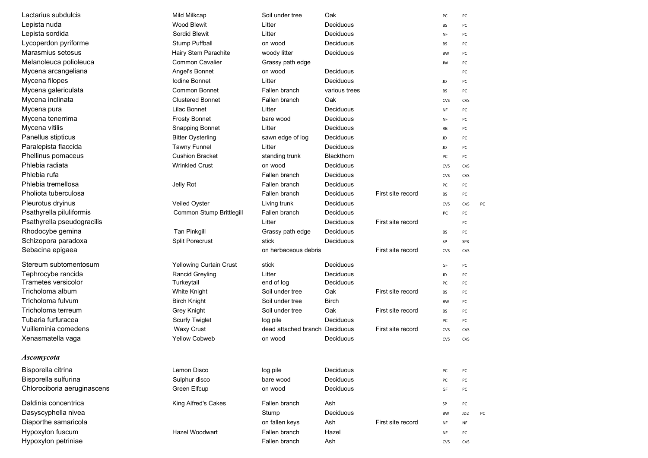| Lactarius subdulcis         | Mild Milkcap             | Soil under tree                | Oak           |                   | PC         | PC              |    |
|-----------------------------|--------------------------|--------------------------------|---------------|-------------------|------------|-----------------|----|
| Lepista nuda                | <b>Wood Blewit</b>       | Litter                         | Deciduous     |                   | BS         | PC              |    |
| Lepista sordida             | Sordid Blewit            | Litter                         | Deciduous     |                   | NF         | PC              |    |
| Lycoperdon pyriforme        | Stump Puffball           | on wood                        | Deciduous     |                   | BS         | PC              |    |
| Marasmius setosus           | Hairy Stem Parachite     | woody litter                   | Deciduous     |                   | <b>BW</b>  | PC              |    |
| Melanoleuca polioleuca      | <b>Common Cavalier</b>   | Grassy path edge               |               |                   | JW         | PC              |    |
| Mycena arcangeliana         | Angel's Bonnet           | on wood                        | Deciduous     |                   |            | PC              |    |
| Mycena filopes              | <b>Iodine Bonnet</b>     | Litter                         | Deciduous     |                   | JD         | PC              |    |
| Mycena galericulata         | <b>Common Bonnet</b>     | Fallen branch                  | various trees |                   | BS         | PC              |    |
| Mycena inclinata            | <b>Clustered Bonnet</b>  | Fallen branch                  | Oak           |                   | <b>CVS</b> | CVS             |    |
| Mycena pura                 | Lilac Bonnet             | Litter                         | Deciduous     |                   | NF         | PC              |    |
| Mycena tenerrima            | <b>Frosty Bonnet</b>     | bare wood                      | Deciduous     |                   | NF         | PC              |    |
| Mycena vitilis              | <b>Snapping Bonnet</b>   | Litter                         | Deciduous     |                   | RB         | PC              |    |
| Panellus stipticus          | <b>Bitter Oysterling</b> | sawn edge of log               | Deciduous     |                   | JD         | PC              |    |
| Paralepista flaccida        | <b>Tawny Funnel</b>      | Litter                         | Deciduous     |                   | JD         | PC              |    |
| Phellinus pomaceus          | <b>Cushion Bracket</b>   | standing trunk                 | Blackthorn    |                   | PC         | PC              |    |
| Phlebia radiata             | <b>Wrinkled Crust</b>    | on wood                        | Deciduous     |                   | <b>CVS</b> | <b>CVS</b>      |    |
| Phlebia rufa                |                          | Fallen branch                  | Deciduous     |                   | <b>CVS</b> | CVS             |    |
| Phlebia tremellosa          | Jelly Rot                | Fallen branch                  | Deciduous     |                   | PC         | PC              |    |
| Pholiota tuberculosa        |                          | Fallen branch                  | Deciduous     | First site record | BS         | PC              |    |
| Pleurotus dryinus           | Veiled Oyster            | Living trunk                   | Deciduous     |                   | CVS        | CVS             | PC |
| Psathyrella piluliformis    | Common Stump Brittlegill | Fallen branch                  | Deciduous     |                   | PC         | PC              |    |
| Psathyrella pseudogracilis  |                          | Litter                         | Deciduous     | First site record |            | PC              |    |
| Rhodocybe gemina            | <b>Tan Pinkgill</b>      | Grassy path edge               | Deciduous     |                   | BS         | PC              |    |
| Schizopora paradoxa         | <b>Split Porecrust</b>   | stick                          | Deciduous     |                   | SP         | SP3             |    |
| Sebacina epigaea            |                          | on herbaceous debris           |               | First site record | CVS        | CVS             |    |
| Stereum subtomentosum       | Yellowing Curtain Crust  | stick                          | Deciduous     |                   | GF         | PC              |    |
| Tephrocybe rancida          | Rancid Greyling          | Litter                         | Deciduous     |                   | JD         | PC              |    |
| Trametes versicolor         | Turkeytail               | end of log                     | Deciduous     |                   | PC         | PC              |    |
| Tricholoma album            | White Knight             | Soil under tree                | Oak           | First site record | BS         | PC              |    |
| Tricholoma fulvum           | <b>Birch Knight</b>      | Soil under tree                | <b>Birch</b>  |                   | <b>BW</b>  | PC              |    |
| Tricholoma terreum          | Grey Knight              | Soil under tree                | Oak           | First site record | BS         | PC              |    |
| Tubaria furfuracea          | <b>Scurfy Twiglet</b>    | log pile                       | Deciduous     |                   | PC         | PC              |    |
| Vuilleminia comedens        | <b>Waxy Crust</b>        | dead attached branch Deciduous |               | First site record | CVS        | CVS             |    |
| Xenasmatella vaga           | <b>Yellow Cobweb</b>     | on wood                        | Deciduous     |                   | CVS        | CVS             |    |
| Ascomycota                  |                          |                                |               |                   |            |                 |    |
| Bisporella citrina          | Lemon Disco              | log pile                       | Deciduous     |                   | PC         | PC              |    |
| Bisporella sulfurina        | Sulphur disco            | bare wood                      | Deciduous     |                   | PC         | PC              |    |
| Chlorociboria aeruginascens | Green Elfcup             | on wood                        | Deciduous     |                   | GF         | PC              |    |
| Daldinia concentrica        | King Alfred's Cakes      | Fallen branch                  | Ash           |                   | SP         | PC              |    |
| Dasyscyphella nivea         |                          | Stump                          | Deciduous     |                   | BW         | JD <sub>2</sub> | PC |
| Diaporthe samaricola        |                          | on fallen keys                 | Ash           | First site record | NF         | NF              |    |
| Hypoxylon fuscum            | Hazel Woodwart           | Fallen branch                  | Hazel         |                   | NF         | PC              |    |
| Hypoxylon petriniae         |                          | Fallen branch                  | Ash           |                   | CVS        | CVS             |    |
|                             |                          |                                |               |                   |            |                 |    |